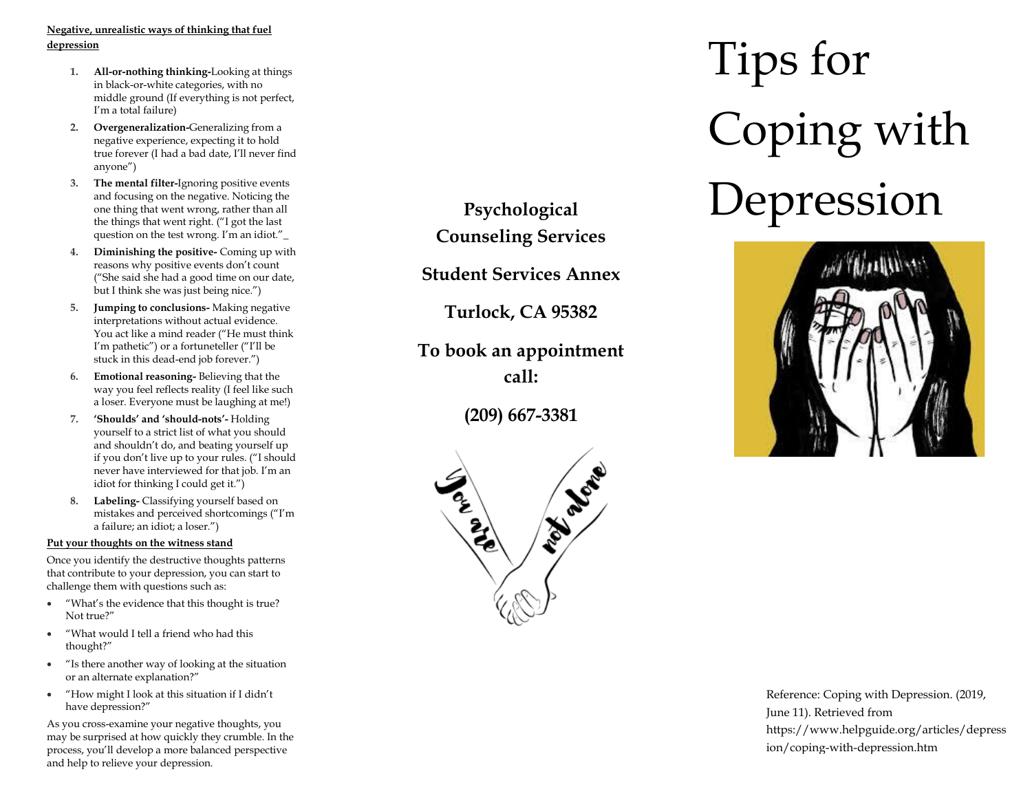### **Negative, unrealistic ways of thinking that fuel depression**

- **1. All -or -nothing thinking-**Looking at things in black -or -white categories, with no middle ground (If everything is not perfect, I'm a total failure)
- **2. Overgeneralization -**Generalizing from a negative experience, expecting it to hold true forever (I had a bad date, I'll never find anyone")
- **3. The mental filter -**Ignoring positive events and focusing on the negative. Noticing the one thing that went wrong, rather than all the things that went right. ("I got the last question on the test wrong. I'm an idiot."\_
- **4. Diminishing the positive -** Coming up with reasons why positive events don't count ("She said she had a good time on our date, but I think she was just being nice.")
- **5. Jumping to conclusions -** Making negative interpretations without actual evidence. You act like a mind reader ("He must think I'm pathetic") or a fortuneteller ("I'll be stuck in this dead -end job forever.")
- **6. Emotional reasoning -** Believing that the way you feel reflects reality (I feel like such a loser. Everyone must be laughing at me!)
- **7. 'Shoulds' and 'should -nots' -** Holding yourself to a strict list of what you should and shouldn't do, and beating yourself up if you don't live up to your rules. ("I should never have interviewed for that job. I'm an idiot for thinking I could get it.")
- **8. Labeling-** Classifying yourself based on mistakes and perceived shortcomings ("I'm a failure; an idiot; a loser.")

### **Put your thoughts on the witness stand**

Once you identify the destructive thoughts patterns that contribute to your depression, you can start to challenge them with questions such as:

- "What's the evidence that this thought is true? Not true?"
- "What would I tell a friend who had this thought?"
- "Is there another way of looking at the situation or an alternate explanation?"
- "How might I look at this situation if I didn't have depression?"

As you cross -examine your negative thoughts, you may be surprised at how quickly they crumble. In the process, you'll develop a more balanced perspective and help to relieve your depression .

**Psychological Counseling Services**

**Student Services Annex**

**Turlock, CA 95382**

**To book an appointment call:**

**(209) 667 -3381**



# Tips for Coping with Depression



Reference: Coping with Depression. (2019, June 11). Retrieved from https://www.helpguide.org/articles/depress ion/coping -with -depression.htm